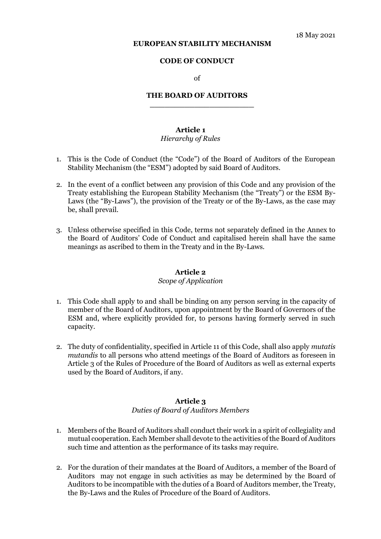#### **EUROPEAN STABILITY MECHANISM**

#### **CODE OF CONDUCT**

of

#### **THE BOARD OF AUDITORS**

**\_\_\_\_\_\_\_\_\_\_\_\_\_\_\_\_\_\_\_\_\_** 

## **Article 1**

#### *Hierarchy of Rules*

- 1. This is the Code of Conduct (the "Code") of the Board of Auditors of the European Stability Mechanism (the "ESM") adopted by said Board of Auditors.
- 2. In the event of a conflict between any provision of this Code and any provision of the Treaty establishing the European Stability Mechanism (the "Treaty") or the ESM By-Laws (the "By-Laws"), the provision of the Treaty or of the By-Laws, as the case may be, shall prevail.
- 3. Unless otherwise specified in this Code, terms not separately defined in the Annex to the Board of Auditors' Code of Conduct and capitalised herein shall have the same meanings as ascribed to them in the Treaty and in the By-Laws.

#### **Article 2**

#### *Scope of Application*

- 1. This Code shall apply to and shall be binding on any person serving in the capacity of member of the Board of Auditors, upon appointment by the Board of Governors of the ESM and, where explicitly provided for, to persons having formerly served in such capacity.
- 2. The duty of confidentiality, specified in Article 11 of this Code, shall also apply *mutatis mutandis* to all persons who attend meetings of the Board of Auditors as foreseen in Article 3 of the Rules of Procedure of the Board of Auditors as well as external experts used by the Board of Auditors, if any.

#### **Article 3**

#### *Duties of Board of Auditors Members*

- 1. Members of the Board of Auditors shall conduct their work in a spirit of collegiality and mutual cooperation. Each Member shall devote to the activities of the Board of Auditors such time and attention as the performance of its tasks may require.
- 2. For the duration of their mandates at the Board of Auditors, a member of the Board of Auditors may not engage in such activities as may be determined by the Board of Auditors to be incompatible with the duties of a Board of Auditors member, the Treaty, the By-Laws and the Rules of Procedure of the Board of Auditors.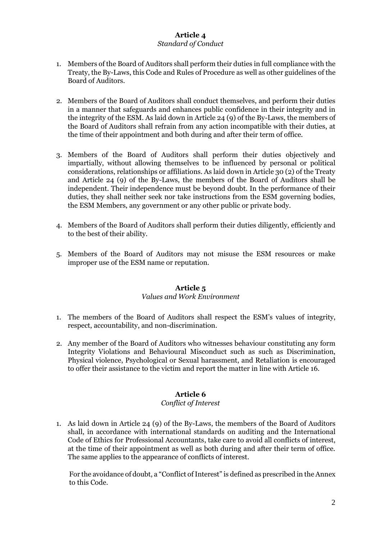### **Article 4**  *Standard of Conduct*

- 1. Members of the Board of Auditors shall perform their duties in full compliance with the Treaty, the By-Laws, this Code and Rules of Procedure as well as other guidelines of the Board of Auditors.
- 2. Members of the Board of Auditors shall conduct themselves, and perform their duties in a manner that safeguards and enhances public confidence in their integrity and in the integrity of the ESM. As laid down in Article 24 (9) of the By-Laws, the members of the Board of Auditors shall refrain from any action incompatible with their duties, at the time of their appointment and both during and after their term of office.
- 3. Members of the Board of Auditors shall perform their duties objectively and impartially, without allowing themselves to be influenced by personal or political considerations, relationships or affiliations. As laid down in Article 30 (2) of the Treaty and Article 24 (9) of the By-Laws, the members of the Board of Auditors shall be independent. Their independence must be beyond doubt. In the performance of their duties, they shall neither seek nor take instructions from the ESM governing bodies, the ESM Members, any government or any other public or private body.
- 4. Members of the Board of Auditors shall perform their duties diligently, efficiently and to the best of their ability.
- 5. Members of the Board of Auditors may not misuse the ESM resources or make improper use of the ESM name or reputation.

# **Article 5**

### *Values and Work Environment*

- 1. The members of the Board of Auditors shall respect the ESM's values of integrity, respect, accountability, and non-discrimination.
- 2. Any member of the Board of Auditors who witnesses behaviour constituting any form Integrity Violations and Behavioural Misconduct such as such as Discrimination, Physical violence, Psychological or Sexual harassment, and Retaliation is encouraged to offer their assistance to the victim and report the matter in line with Article 16.

### **Article 6**

### *Conflict of Interest*

1. As laid down in Article 24 (9) of the By-Laws, the members of the Board of Auditors shall, in accordance with international standards on auditing and the International Code of Ethics for Professional Accountants, take care to avoid all conflicts of interest, at the time of their appointment as well as both during and after their term of office. The same applies to the appearance of conflicts of interest.

For the avoidance of doubt, a "Conflict of Interest" is defined as prescribed in the Annex to this Code.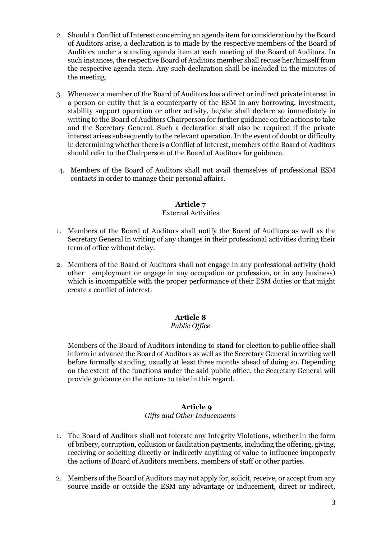- 2. Should a Conflict of Interest concerning an agenda item for consideration by the Board of Auditors arise, a declaration is to made by the respective members of the Board of Auditors under a standing agenda item at each meeting of the Board of Auditors. In such instances, the respective Board of Auditors member shall recuse her/himself from the respective agenda item. Any such declaration shall be included in the minutes of the meeting.
- 3. Whenever a member of the Board of Auditors has a direct or indirect private interest in a person or entity that is a counterparty of the ESM in any borrowing, investment, stability support operation or other activity, he/she shall declare so immediately in writing to the Board of Auditors Chairperson for further guidance on the actions to take and the Secretary General. Such a declaration shall also be required if the private interest arises subsequently to the relevant operation. In the event of doubt or difficulty in determining whether there is a Conflict of Interest, members of the Board of Auditors should refer to the Chairperson of the Board of Auditors for guidance.
- 4. Members of the Board of Auditors shall not avail themselves of professional ESM contacts in order to manage their personal affairs.

## **Article 7**

### External Activities

- 1. Members of the Board of Auditors shall notify the Board of Auditors as well as the Secretary General in writing of any changes in their professional activities during their term of office without delay.
- 2. Members of the Board of Auditors shall not engage in any professional activity (hold other employment or engage in any occupation or profession, or in any business) which is incompatible with the proper performance of their ESM duties or that might create a conflict of interest.

## **Article 8**

### *Public Office*

Members of the Board of Auditors intending to stand for election to public office shall inform in advance the Board of Auditors as well as the Secretary General in writing well before formally standing, usually at least three months ahead of doing so. Depending on the extent of the functions under the said public office, the Secretary General will provide guidance on the actions to take in this regard.

### **Article 9**

### *Gifts and Other Inducements*

- 1. The Board of Auditors shall not tolerate any Integrity Violations, whether in the form of bribery, corruption, collusion or facilitation payments, including the offering, giving, receiving or soliciting directly or indirectly anything of value to influence improperly the actions of Board of Auditors members, members of staff or other parties.
- 2. Members of the Board of Auditors may not apply for, solicit, receive, or accept from any source inside or outside the ESM any advantage or inducement, direct or indirect,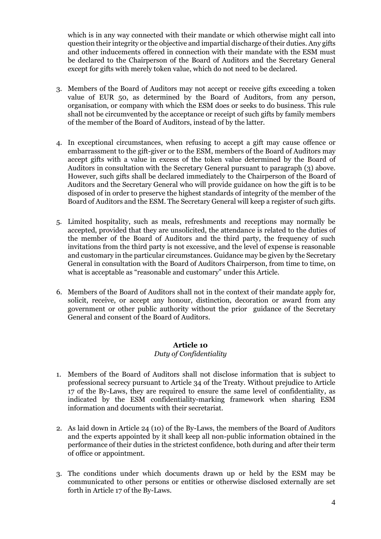which is in any way connected with their mandate or which otherwise might call into question their integrity or the objective and impartial discharge of their duties. Any gifts and other inducements offered in connection with their mandate with the ESM must be declared to the Chairperson of the Board of Auditors and the Secretary General except for gifts with merely token value, which do not need to be declared.

- 3. Members of the Board of Auditors may not accept or receive gifts exceeding a token value of EUR 50, as determined by the Board of Auditors, from any person, organisation, or company with which the ESM does or seeks to do business. This rule shall not be circumvented by the acceptance or receipt of such gifts by family members of the member of the Board of Auditors, instead of by the latter.
- 4. In exceptional circumstances, when refusing to accept a gift may cause offence or embarrassment to the gift-giver or to the ESM, members of the Board of Auditors may accept gifts with a value in excess of the token value determined by the Board of Auditors in consultation with the Secretary General pursuant to paragraph (3) above. However, such gifts shall be declared immediately to the Chairperson of the Board of Auditors and the Secretary General who will provide guidance on how the gift is to be disposed of in order to preserve the highest standards of integrity of the member of the Board of Auditors and the ESM. The Secretary General will keep a register of such gifts.
- 5. Limited hospitality, such as meals, refreshments and receptions may normally be accepted, provided that they are unsolicited, the attendance is related to the duties of the member of the Board of Auditors and the third party, the frequency of such invitations from the third party is not excessive, and the level of expense is reasonable and customary in the particular circumstances. Guidance may be given by the Secretary General in consultation with the Board of Auditors Chairperson, from time to time, on what is acceptable as "reasonable and customary" under this Article.
- 6. Members of the Board of Auditors shall not in the context of their mandate apply for, solicit, receive, or accept any honour, distinction, decoration or award from any government or other public authority without the prior guidance of the Secretary General and consent of the Board of Auditors.

## **Article 10**

## *Duty of Confidentiality*

- 1. Members of the Board of Auditors shall not disclose information that is subject to professional secrecy pursuant to Article 34 of the Treaty. Without prejudice to Article 17 of the By-Laws, they are required to ensure the same level of confidentiality, as indicated by the ESM confidentiality-marking framework when sharing ESM information and documents with their secretariat.
- 2. As laid down in Article 24 (10) of the By-Laws, the members of the Board of Auditors and the experts appointed by it shall keep all non-public information obtained in the performance of their duties in the strictest confidence, both during and after their term of office or appointment.
- 3. The conditions under which documents drawn up or held by the ESM may be communicated to other persons or entities or otherwise disclosed externally are set forth in Article 17 of the By-Laws.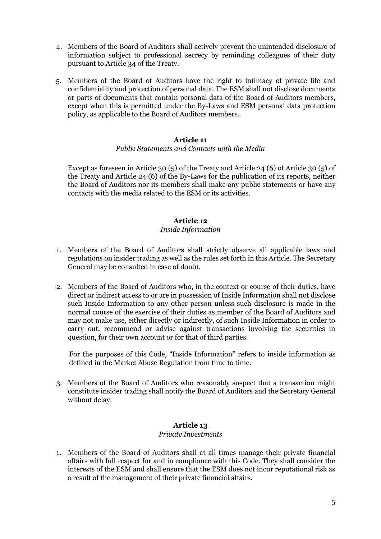- 4. Members of the Board of Auditors shall actively prevent the unintended disclosure of information subject to professional secrecy by reminding colleagues of their duty pursuant to Article 34 of the Treaty.
- 5. Members of the Board of Auditors have the right to intimacy of private life and confidentiality and protection of personal data. The ESM shall not disclose documents or parts of documents that contain personal data of the Board of Auditors members, except when this is permitted under the By-Laws and ESM personal data protection policy, as applicable to the Board of Auditors members.

### **Article 11**

#### *Public Statements and Contacts with the Media*

Except as foreseen in Article 30 (5) of the Treaty and Article 24 (6) of Article 30 (5) of the Treaty and Article 24 (6) of the By-Laws for the publication of its reports, neither the Board of Auditors nor its members shall make any public statements or have any contacts with the media related to the ESM or its activities.

### **Article 12**

### *Inside Information*

- 1. Members of the Board of Auditors shall strictly observe all applicable laws and regulations on insider trading as well as the rules set forth in this Article. The Secretary General may be consulted in case of doubt.
- 2. Members of the Board of Auditors who, in the context or course of their duties, have direct or indirect access to or are in possession of Inside Information shall not disclose such Inside Information to any other person unless such disclosure is made in the normal course of the exercise of their duties as member of the Board of Auditors and may not make use, either directly or indirectly, of such Inside Information in order to carry out, recommend or advise against transactions involving the securities in question, for their own account or for that of third parties.

For the purposes of this Code, "Inside Information" refers to inside information as defined in the Market Abuse Regulation from time to time.

3. Members of the Board of Auditors who reasonably suspect that a transaction might constitute insider trading shall notify the Board of Auditors and the Secretary General without delay.

## **Article 13**

#### *Private Investments*

1. Members of the Board of Auditors shall at all times manage their private financial affairs with full respect for and in compliance with this Code. They shall consider the interests of the ESM and shall ensure that the ESM does not incur reputational risk as a result of the management of their private financial affairs.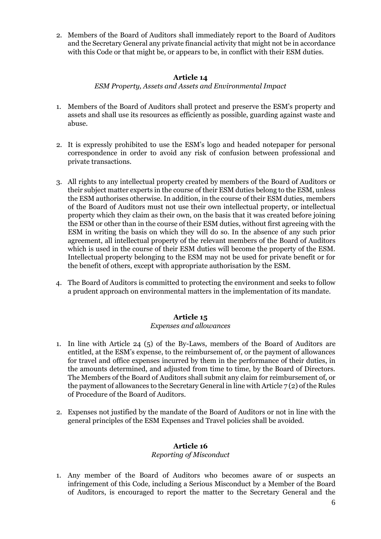2. Members of the Board of Auditors shall immediately report to the Board of Auditors and the Secretary General any private financial activity that might not be in accordance with this Code or that might be, or appears to be, in conflict with their ESM duties.

### **Article 14**

*ESM Property, Assets and Assets and Environmental Impact* 

- 1. Members of the Board of Auditors shall protect and preserve the ESM's property and assets and shall use its resources as efficiently as possible, guarding against waste and abuse.
- 2. It is expressly prohibited to use the ESM's logo and headed notepaper for personal correspondence in order to avoid any risk of confusion between professional and private transactions.
- 3. All rights to any intellectual property created by members of the Board of Auditors or their subject matter experts in the course of their ESM duties belong to the ESM, unless the ESM authorises otherwise. In addition, in the course of their ESM duties, members of the Board of Auditors must not use their own intellectual property, or intellectual property which they claim as their own, on the basis that it was created before joining the ESM or other than in the course of their ESM duties, without first agreeing with the ESM in writing the basis on which they will do so. In the absence of any such prior agreement, all intellectual property of the relevant members of the Board of Auditors which is used in the course of their ESM duties will become the property of the ESM. Intellectual property belonging to the ESM may not be used for private benefit or for the benefit of others, except with appropriate authorisation by the ESM.
- 4. The Board of Auditors is committed to protecting the environment and seeks to follow a prudent approach on environmental matters in the implementation of its mandate.

## **Article 15**

### *Expenses and allowances*

- 1. In line with Article 24 (5) of the By-Laws, members of the Board of Auditors are entitled, at the ESM's expense, to the reimbursement of, or the payment of allowances for travel and office expenses incurred by them in the performance of their duties, in the amounts determined, and adjusted from time to time, by the Board of Directors. The Members of the Board of Auditors shall submit any claim for reimbursement of, or the payment of allowances to the Secretary General in line with Article  $7(2)$  of the Rules of Procedure of the Board of Auditors.
- 2. Expenses not justified by the mandate of the Board of Auditors or not in line with the general principles of the ESM Expenses and Travel policies shall be avoided.

## **Article 16**

### *Reporting of Misconduct*

1. Any member of the Board of Auditors who becomes aware of or suspects an infringement of this Code, including a Serious Misconduct by a Member of the Board of Auditors, is encouraged to report the matter to the Secretary General and the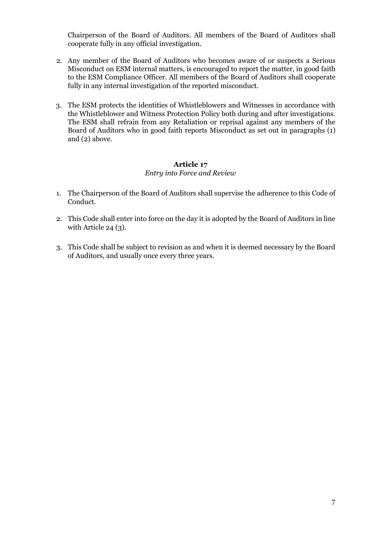Chairperson of the Board of Auditors. All members of the Board of Auditors shall cooperate fully in any official investigation.

- 2. Any member of the Board of Auditors who becomes aware of or suspects a Serious Misconduct on ESM internal matters, is encouraged to report the matter, in good faith to the ESM Compliance Officer. All members of the Board of Auditors shall cooperate fully in any internal investigation of the reported misconduct.
- 3. The ESM protects the identities of Whistleblowers and Witnesses in accordance with the Whistleblower and Witness Protection Policy both during and after investigations. The ESM shall refrain from any Retaliation or reprisal against any members of the Board of Auditors who in good faith reports Misconduct as set out in paragraphs (1) and (2) above.

# **Article 17**

## *Entry into Force and Review*

- 1. The Chairperson of the Board of Auditors shall supervise the adherence to this Code of Conduct.
- 2. This Code shall enter into force on the day it is adopted by the Board of Auditors in line with Article 24 (3).
- 3. This Code shall be subject to revision as and when it is deemed necessary by the Board of Auditors, and usually once every three years.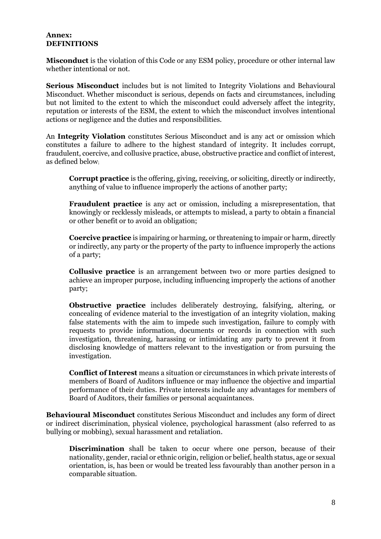#### **Annex: DEFINITIONS**

**Misconduct** is the violation of this Code or any ESM policy, procedure or other internal law whether intentional or not*.*

**Serious Misconduct** includes but is not limited to Integrity Violations and Behavioural Misconduct. Whether misconduct is serious, depends on facts and circumstances, including but not limited to the extent to which the misconduct could adversely affect the integrity, reputation or interests of the ESM, the extent to which the misconduct involves intentional actions or negligence and the duties and responsibilities.

An **Integrity Violation** constitutes Serious Misconduct and is any act or omission which constitutes a failure to adhere to the highest standard of integrity. It includes corrupt, fraudulent, coercive, and collusive practice, abuse, obstructive practice and conflict of interest, as defined below;

**Corrupt practice** is the offering, giving, receiving, or soliciting, directly or indirectly, anything of value to influence improperly the actions of another party;

**Fraudulent practice** is any act or omission, including a misrepresentation, that knowingly or recklessly misleads, or attempts to mislead, a party to obtain a financial or other benefit or to avoid an obligation;

**Coercive practice** is impairing or harming, or threatening to impair or harm, directly or indirectly, any party or the property of the party to influence improperly the actions of a party;

**Collusive practice** is an arrangement between two or more parties designed to achieve an improper purpose, including influencing improperly the actions of another party;

**Obstructive practice** includes deliberately destroying, falsifying, altering, or concealing of evidence material to the investigation of an integrity violation, making false statements with the aim to impede such investigation, failure to comply with requests to provide information, documents or records in connection with such investigation, threatening, harassing or intimidating any party to prevent it from disclosing knowledge of matters relevant to the investigation or from pursuing the investigation.

**Conflict of Interest** means a situation or circumstances in which private interests of members of Board of Auditors influence or may influence the objective and impartial performance of their duties. Private interests include any advantages for members of Board of Auditors, their families or personal acquaintances.

**Behavioural Misconduct** constitutes Serious Misconduct and includes any form of direct or indirect discrimination, physical violence, psychological harassment (also referred to as bullying or mobbing), sexual harassment and retaliation.

**Discrimination** shall be taken to occur where one person, because of their nationality, gender, racial or ethnic origin, religion or belief, health status, age or sexual orientation, is, has been or would be treated less favourably than another person in a comparable situation.